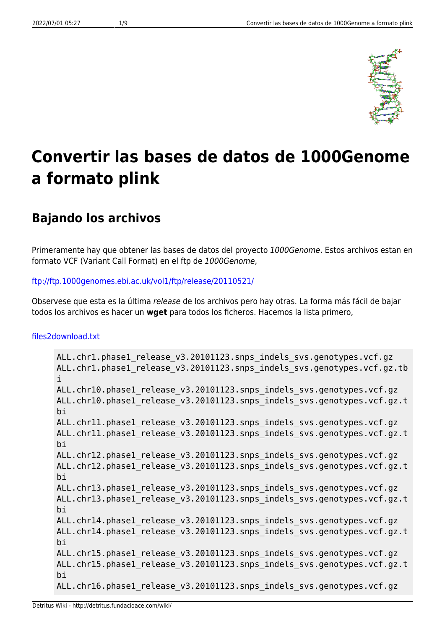

# **Convertir las bases de datos de 1000Genome a formato plink**

## **Bajando los archivos**

Primeramente hay que obtener las bases de datos del proyecto 1000Genome. Estos archivos estan en formato VCF (Variant Call Format) en el ftp de 1000Genome,

#### <ftp://ftp.1000genomes.ebi.ac.uk/vol1/ftp/release/20110521/>

Observese que esta es la última release de los archivos pero hay otras. La forma más fácil de bajar todos los archivos es hacer un **wget** para todos los ficheros. Hacemos la lista primero,

#### [files2download.txt](http://detritus.fundacioace.com/wiki/doku.php?do=export_code&id=genetica:pre_1kg&codeblock=0)

```
ALL.chr1.phase1_release_v3.20101123.snps_indels_svs.genotypes.vcf.gz
ALL.chr1.phase1 release v3.20101123.snps indels svs.genotypes.vcf.gz.tb
i
ALL.chr10.phase1 release v3.20101123.snps indels svs.genotypes.vcf.gz
ALL.chr10.phase1 release v3.20101123.snps indels svs.genotypes.vcf.gz.t
bi
ALL.chr11.phase1 release v3.20101123.snps indels svs.genotypes.vcf.gz
ALL.chr11.phase1 release v3.20101123.snps indels svs.genotypes.vcf.gz.t
bi
ALL.chr12.phase1 release v3.20101123.snps indels svs.genotypes.vcf.gz
ALL.chr12.phase1 release v3.20101123.snps indels svs.genotypes.vcf.gz.t
bi
ALL.chr13.phase1 release v3.20101123.snps indels svs.genotypes.vcf.gz
ALL.chr13.phase1 release v3.20101123.snps indels svs.genotypes.vcf.gz.t
bi
ALL.chr14.phase1 release v3.20101123.snps indels svs.genotypes.vcf.gz
ALL.chr14.phase1 release v3.20101123.snps indels svs.genotypes.vcf.gz.t
bi
ALL.chr15.phase1 release v3.20101123.snps indels svs.genotypes.vcf.gz
ALL.chr15.phase1 release v3.20101123.snps indels svs.genotypes.vcf.gz.t
bi
ALL.chr16.phase1 release v3.20101123.snps indels svs.genotypes.vcf.gz
```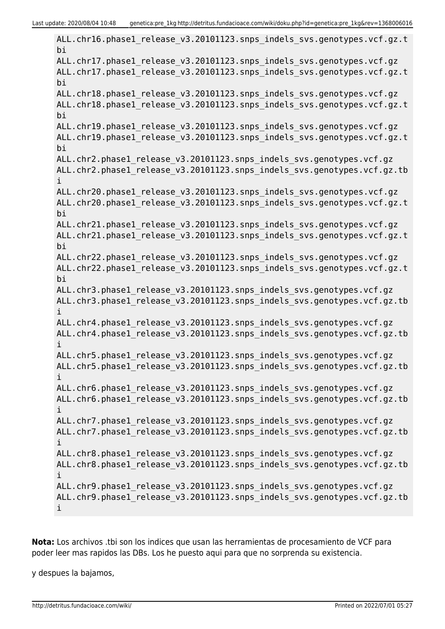ALL.chr16.phase1 release v3.20101123.snps indels svs.genotypes.vcf.gz.t bi ALL.chr17.phase1 release v3.20101123.snps indels svs.genotypes.vcf.gz ALL.chr17.phase1 release v3.20101123.snps indels svs.genotypes.vcf.gz.t bi ALL.chr18.phase1 release v3.20101123.snps indels svs.genotypes.vcf.gz ALL.chr18.phase1\_release\_v3.20101123.snps\_indels\_svs.genotypes.vcf.gz.t bi ALL.chr19.phase1 release v3.20101123.snps indels svs.genotypes.vcf.gz ALL.chr19.phase1 release v3.20101123.snps indels svs.genotypes.vcf.gz.t bi ALL.chr2.phase1\_release\_v3.20101123.snps\_indels\_svs.genotypes.vcf.gz ALL.chr2.phase1 release v3.20101123.snps indels svs.genotypes.vcf.gz.tb i ALL.chr20.phase1 release v3.20101123.snps indels svs.genotypes.vcf.gz ALL.chr20.phase1 release v3.20101123.snps indels svs.genotypes.vcf.gz.t bi ALL.chr21.phase1 release v3.20101123.snps indels svs.genotypes.vcf.gz ALL.chr21.phase1 release v3.20101123.snps indels svs.genotypes.vcf.gz.t bi ALL.chr22.phase1 release v3.20101123.snps indels svs.genotypes.vcf.gz ALL.chr22.phase1 release v3.20101123.snps indels svs.genotypes.vcf.gz.t bi ALL.chr3.phase1 release v3.20101123.snps indels svs.genotypes.vcf.gz ALL.chr3.phase1\_release\_v3.20101123.snps\_indels\_svs.genotypes.vcf.gz.tb i ALL.chr4.phase1 release v3.20101123.snps indels svs.genotypes.vcf.gz ALL.chr4.phase1 release v3.20101123.snps indels svs.genotypes.vcf.gz.tb i ALL.chr5.phase1 release v3.20101123.snps indels svs.genotypes.vcf.gz ALL.chr5.phase1 release v3.20101123.snps indels svs.genotypes.vcf.gz.tb i ALL.chr6.phase1 release v3.20101123.snps indels svs.genotypes.vcf.gz ALL.chr6.phase1 release v3.20101123.snps indels svs.genotypes.vcf.gz.tb i ALL.chr7.phase1 release v3.20101123.snps indels svs.genotypes.vcf.gz ALL.chr7.phase1 release v3.20101123.snps indels svs.genotypes.vcf.gz.tb i ALL.chr8.phase1\_release\_v3.20101123.snps\_indels\_svs.genotypes.vcf.gz ALL.chr8.phase1\_release\_v3.20101123.snps\_indels\_svs.genotypes.vcf.gz.tb i ALL.chr9.phase1 release v3.20101123.snps indels svs.genotypes.vcf.gz ALL.chr9.phase1 release v3.20101123.snps indels svs.genotypes.vcf.gz.tb i

**Nota:** Los archivos .tbi son los indices que usan las herramientas de procesamiento de VCF para poder leer mas rapidos las DBs. Los he puesto aqui para que no sorprenda su existencia.

y despues la bajamos,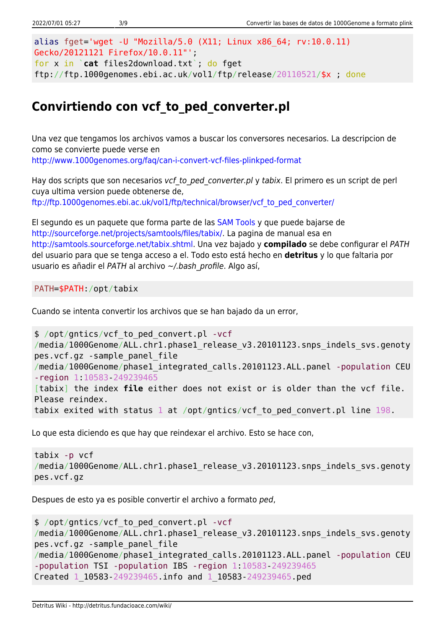```
alias fget='wget -U "Mozilla/5.0 (X11; Linux x86_64; rv:10.0.11)
Gecko/20121121 Firefox/10.0.11"';
for x in `cat files2download.txt`; do fget
ftp://ftp.1000genomes.ebi.ac.uk/vol1/ftp/release/20110521/$x ; done
```
## **Convirtiendo con vcf\_to\_ped\_converter.pl**

Una vez que tengamos los archivos vamos a buscar los conversores necesarios. La descripcion de como se convierte puede verse en <http://www.1000genomes.org/faq/can-i-convert-vcf-files-plinkped-format>

Hay dos scripts que son necesarios vcf to ped converter.pl y tabix. El primero es un script de perl cuya ultima version puede obtenerse de, [ftp://ftp.1000genomes.ebi.ac.uk/vol1/ftp/technical/browser/vcf\\_to\\_ped\\_converter/](ftp://ftp.1000genomes.ebi.ac.uk/vol1/ftp/technical/browser/vcf_to_ped_converter/)

El segundo es un paquete que forma parte de las [SAM Tools](http://samtools.sourceforge.net/) y que puede bajarse de [http://sourceforge.net/projects/samtools/files/tabix/.](http://sourceforge.net/projects/samtools/files/tabix/) La pagina de manual esa en <http://samtools.sourceforge.net/tabix.shtml>. Una vez bajado y **compilado** se debe configurar el PATH del usuario para que se tenga acceso a el. Todo esto está hecho en **detritus** y lo que faltaria por usuario es añadir el PATH al archivo ~/.bash profile. Algo así,

PATH=\$PATH:/opt/tabix

Cuando se intenta convertir los archivos que se han bajado da un error,

```
$ /opt/gntics/vcf_to_ped_convert.pl -vcf
/media/1000Genome/ALL.chr1.phase1 release v3.20101123.snps indels svs.genoty
pes.vcf.gz -sample_panel_file
/media/1000Genome/phase1_integrated_calls.20101123.ALL.panel -population CEU
-region 1:10583-249239465
[tabix] the index file either does not exist or is older than the vcf file.
Please reindex.
tabix exited with status 1 at /opt/gntics/vcf_to_ped_convert.pl line 198.
```
Lo que esta diciendo es que hay que reindexar el archivo. Esto se hace con,

```
tabix -p vcf
/media/1000Genome/ALL.chr1.phase1 release v3.20101123.snps indels svs.genoty
pes.vcf.gz
```
Despues de esto ya es posible convertir el archivo a formato ped,

```
$ /opt/gntics/vcf_to_ped_convert.pl -vcf
/media/1000Genome/ALL.chr1.phase1 release v3.20101123.snps indels svs.genoty
pes.vcf.gz -sample_panel_file
/media/1000Genome/phase1_integrated_calls.20101123.ALL.panel -population CEU
-population TSI -population IBS -region 1:10583-249239465
Created 1_10583-249239465.info and 1_10583-249239465.ped
```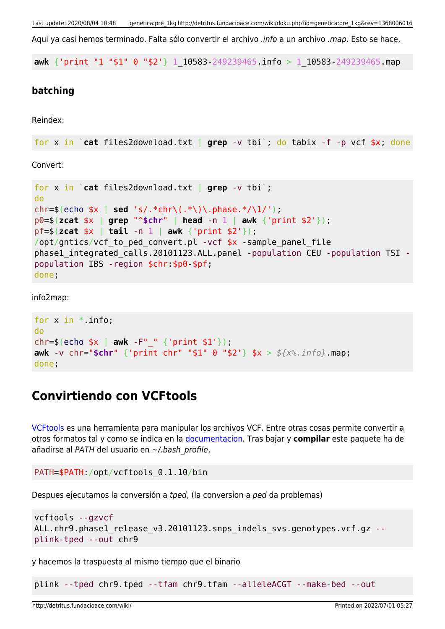Aqui va casi hemos terminado. Falta sólo convertir el archivo .info a un archivo .map. Esto se hace,

**awk** {'print "1 "\$1" 0 "\$2'} 1\_10583-249239465.info > 1\_10583-249239465.map

#### **batching**

Reindex:

```
for x in `cat files2download.txt | grep -v tbi`; do tabix -f -p vcf $x; done
```
Convert:

```
for x in `cat files2download.txt | grep -v tbi`;
do
chr=$(echo $x | sed 's/.*chr\(.*\)\.phase.*/\1/');
p0=$(zcat $x | grep "^$chr" | head -n 1 | awk {'print $2'});
pf=$(zcat $x | tail -n 1 | awk {'print $2'});
/opt/gntics/vcf to ped convert.pl -vcf *x -sample panel file
phase1_integrated_calls.20101123.ALL.panel -population CEU -population TSI -
population IBS -region $chr:$p0-$pf;
done;
```
info2map:

```
for x in *. info;
do
chr=$(echo $x | awk -F"_" {'print $1'});
awk -v chr="$chr" {'print chr" "$1" 0 "$2'} $x > ${x%.info}.map;
done;
```
### **Convirtiendo con VCFtools**

[VCFtools](http://vcftools.sourceforge.net/index.html) es una herramienta para manipular los archivos VCF. Entre otras cosas permite convertir a otros formatos tal y como se indica en la [documentacion.](http://vcftools.sourceforge.net/options.html) Tras bajar y **compilar** este paquete ha de añadirse al PATH del usuario en ~/.bash\_profile,

```
PATH=$PATH:/opt/vcftools_0.1.10/bin
```
Despues ejecutamos la conversión a tped, (la conversion a ped da problemas)

```
vcftools --gzvcf
ALL.chr9.phase1_release_v3.20101123.snps_indels_svs.genotypes.vcf.gz --
plink-tped --out chr9
```
y hacemos la traspuesta al mismo tiempo que el binario

plink --tped chr9.tped --tfam chr9.tfam --alleleACGT --make-bed --out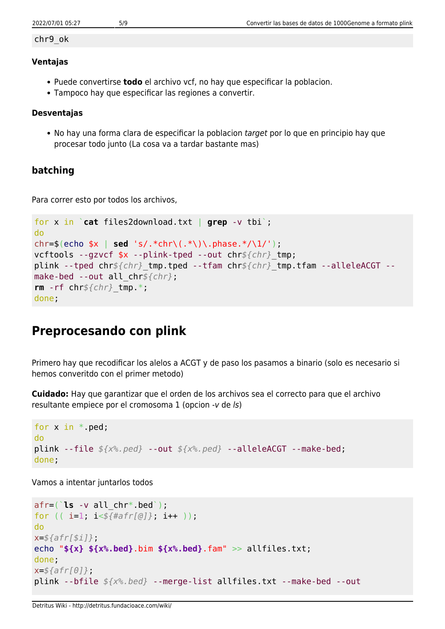#### chr9\_ok

#### **Ventajas**

- Puede convertirse **todo** el archivo vcf, no hay que especificar la poblacion.
- Tampoco hay que especificar las regiones a convertir.

#### **Desventajas**

• No hay una forma clara de especificar la poblacion target por lo que en principio hay que procesar todo junto (La cosa va a tardar bastante mas)

#### **batching**

Para correr esto por todos los archivos,

```
for x in `cat files2download.txt | grep -v tbi`;
do
chr=$(echo $x | sed 's/.*chr\(.*\)\.phase.*/\1/');
vcftools --gzvcf $x --plink-tped --out chr${chr}_tmp;
plink --tped chr${chr}_tmp.tped --tfam chr${chr}_tmp.tfam --alleleACGT --
make-bed --out all_chr${chr};
rm -rf chr${chr}_tmp.*;
done;
```
## **Preprocesando con plink**

Primero hay que recodificar los alelos a ACGT y de paso los pasamos a binario (solo es necesario si hemos converitdo con el primer metodo)

**Cuidado:** Hay que garantizar que el orden de los archivos sea el correcto para que el archivo resultante empiece por el cromosoma 1 (opcion -v de ls)

```
for x in * ped;
do
plink --file ${x%.ped} --out ${x%.ped} --alleleACGT --make-bed;
done;
```
Vamos a intentar juntarlos todos

```
afr=(`ls -v all_chr*.bed`);
for (( i=1; i<${#afr[@]}; i++ ));
do
x=${afr[$i]};
echo "${x} ${x%.bed}.bim ${x%.bed}.fam" >> allfiles.txt;
done;
x=${afr[0]};
plink --bfile ${x%.bed} --merge-list allfiles.txt --make-bed --out
```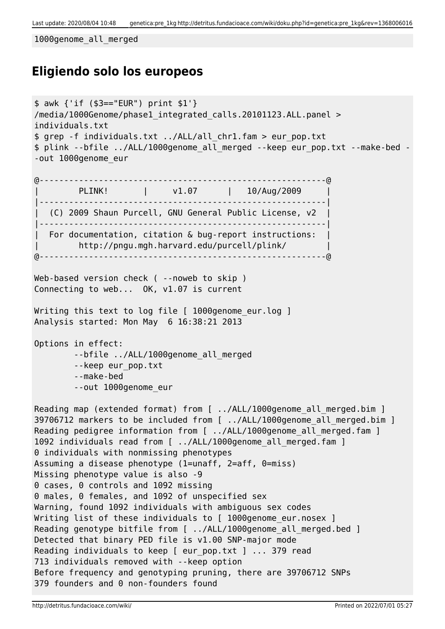Last update: 2020/08/04 10:48 genetica:pre\_1kg http://detritus.fundacioace.com/wiki/doku.php?id=genetica:pre\_1kg&rev=1368006016

1000genome\_all\_merged

## **Eligiendo solo los europeos**

```
$ awk {'if ($3=="EUR") print $1'}
/media/1000Genome/phase1_integrated_calls.20101123.ALL.panel >
individuals.txt
$ grep -f individuals.txt ../ALL/all_chr1.fam > eur_pop.txt
$ plink --bfile ../ALL/1000genome_all_merged --keep eur_pop.txt --make-bed -
-out 1000genome_eur
@----------------------------------------------------------@
        | PLINK! | v1.07 | 10/Aug/2009 |
 |----------------------------------------------------------|
   | (C) 2009 Shaun Purcell, GNU General Public License, v2 |
|----------------------------------------------------------|
 For documentation, citation & bug-report instructions:
         | http://pngu.mgh.harvard.edu/purcell/plink/ |
@----------------------------------------------------------@
Web-based version check ( --noweb to skip )
Connecting to web... OK, v1.07 is current
Writing this text to log file [ 1000genome eur.log ]
Analysis started: Mon May 6 16:38:21 2013
Options in effect:
        --bfile ../ALL/1000genome all merged
         --keep eur_pop.txt
         --make-bed
         --out 1000genome_eur
Reading map (extended format) from [ ../ALL/1000genome all merged.bim ]
39706712 markers to be included from [ ../ALL/1000genome all merged.bim ]
Reading pedigree information from [ ../ALL/1000genome all merged.fam ]
1092 individuals read from [ ../ALL/1000genome all merged.fam ]
0 individuals with nonmissing phenotypes
Assuming a disease phenotype (1=unaff, 2=aff, 0=miss)
Missing phenotype value is also -9
0 cases, 0 controls and 1092 missing
0 males, 0 females, and 1092 of unspecified sex
Warning, found 1092 individuals with ambiguous sex codes
Writing list of these individuals to [ 1000genome_eur.nosex ]
Reading genotype bitfile from [ ../ALL/1000genome all merged.bed ]
Detected that binary PED file is v1.00 SNP-major mode
Reading individuals to keep [ eur pop.txt ] ... 379 read
713 individuals removed with --keep option
Before frequency and genotyping pruning, there are 39706712 SNPs
379 founders and 0 non-founders found
```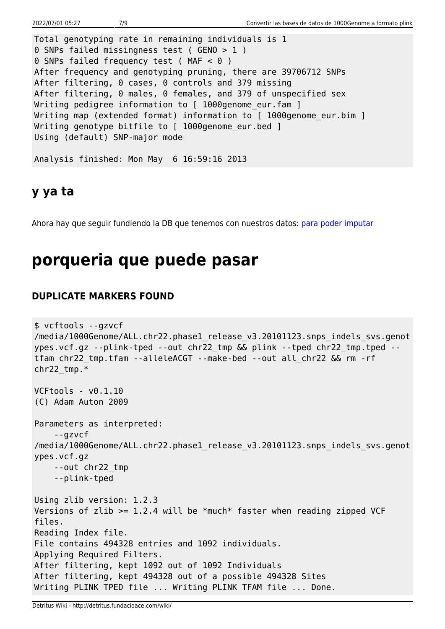```
Total genotyping rate in remaining individuals is 1
0 SNPs failed missingness test ( GENO > 1 )
0 SNPs failed frequency test ( MAF < 0 )
After frequency and genotyping pruning, there are 39706712 SNPs
After filtering, 0 cases, 0 controls and 379 missing
After filtering, 0 males, 0 females, and 379 of unspecified sex
Writing pedigree information to [ 1000genome eur.fam ]
Writing map (extended format) information to [ 1000genome eur.bim ]
Writing genotype bitfile to [ 1000genome_eur.bed ]
Using (default) SNP-major mode
Analysis finished: Mon May 6 16:59:16 2013
```
## **y ya ta**

Ahora hay que seguir fundiendo la DB que tenemos con nuestros datos: [para poder imputar](http://detritus.fundacioace.com/wiki/doku.php?id=genetica:plink_1kg_impute)

# **porqueria que puede pasar**

### **DUPLICATE MARKERS FOUND**

```
$ vcftools --gzvcf
/media/1000Genome/ALL.chr22.phase1 release v3.20101123.snps indels svs.genot
ypes.vcf.gz --plink-tped --out chr22_tmp && plink --tped chr22_tmp.tped --
tfam chr22_tmp.tfam --alleleACGT --make-bed --out all_chr22 && rm -rf
chr22_tmp.*
VCFtools - v0.1.10
(C) Adam Auton 2009
Parameters as interpreted:
     --gzvcf
/media/1000Genome/ALL.chr22.phase1 release v3.20101123.snps indels svs.genot
ypes.vcf.gz
     --out chr22_tmp
     --plink-tped
Using zlib version: 1.2.3
Versions of zlib >= 1.2.4 will be *much* faster when reading zipped VCF
files.
Reading Index file.
File contains 494328 entries and 1092 individuals.
Applying Required Filters.
After filtering, kept 1092 out of 1092 Individuals
After filtering, kept 494328 out of a possible 494328 Sites
Writing PLINK TPED file ... Writing PLINK TFAM file ... Done.
```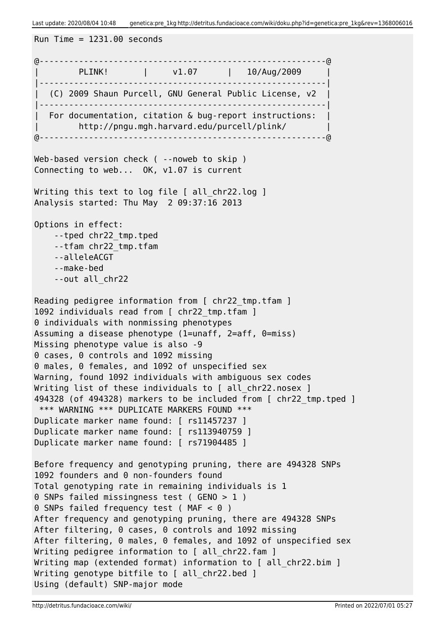Last update: 2020/08/04 10:48 genetica:pre\_1kg http://detritus.fundacioace.com/wiki/doku.php?id=genetica:pre\_1kg&rev=1368006016

```
Run Time = 1231.00 seconds@----------------------------------------------------------@
       | PLINK! | v1.07 | 10/Aug/2009 |
|----------------------------------------------------------|
| (C) 2009 Shaun Purcell, GNU General Public License, v2 |
|----------------------------------------------------------|
| For documentation, citation & bug-report instructions: |
| http://pngu.mgh.harvard.edu/purcell/plink/ |
@----------------------------------------------------------@
Web-based version check ( --noweb to skip )
Connecting to web... OK, v1.07 is current
Writing this text to log file [ all chr22.log ]
Analysis started: Thu May 2 09:37:16 2013
Options in effect:
     --tped chr22_tmp.tped
     --tfam chr22_tmp.tfam
    --alleleACGT
     --make-bed
     --out all_chr22
Reading pedigree information from [ chr22 tmp.tfam ]
1092 individuals read from [ chr22 tmp.tfam ]
0 individuals with nonmissing phenotypes
Assuming a disease phenotype (1=unaff, 2=aff, 0=miss)
Missing phenotype value is also -9
0 cases, 0 controls and 1092 missing
0 males, 0 females, and 1092 of unspecified sex
Warning, found 1092 individuals with ambiguous sex codes
Writing list of these individuals to [ all chr22.nosex ]
494328 (of 494328) markers to be included from [ chr22_tmp.tped ]
 *** WARNING *** DUPLICATE MARKERS FOUND ***
Duplicate marker name found: [ rs11457237 ]
Duplicate marker name found: [ rs113940759 ]
Duplicate marker name found: [ rs71904485 ]
Before frequency and genotyping pruning, there are 494328 SNPs
1092 founders and 0 non-founders found
Total genotyping rate in remaining individuals is 1
0 SNPs failed missingness test ( GENO > 1 )
0 SNPs failed frequency test (MAF < 0)
After frequency and genotyping pruning, there are 494328 SNPs
After filtering, 0 cases, 0 controls and 1092 missing
After filtering, 0 males, 0 females, and 1092 of unspecified sex
Writing pedigree information to [ all chr22.fam ]
Writing map (extended format) information to [ all chr22.bim ]
Writing genotype bitfile to [ all chr22.bed ]
Using (default) SNP-major mode
```